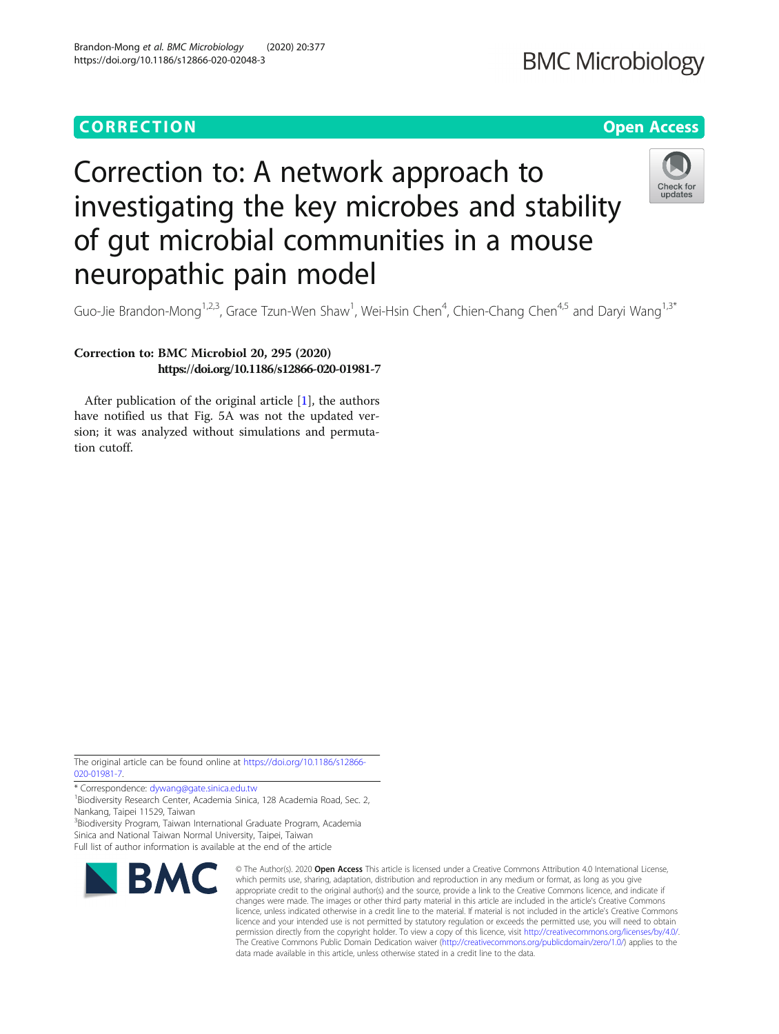# **CORRECTION CORRECTION CORRECTION**

# **BMC Microbiology**

# Correction to: A network approach to investigating the key microbes and stability of gut microbial communities in a mouse neuropathic pain model



Guo-Jie Brandon-Mong<sup>1,2,3</sup>, Grace Tzun-Wen Shaw<sup>1</sup>, Wei-Hsin Chen<sup>4</sup>, Chien-Chang Chen<sup>4,5</sup> and Daryi Wang<sup>1,3\*</sup>

## Correction to: BMC Microbiol 20, 295 (2020) https://doi.org/10.1186/s12866-020-01981-7

After publication of the original article [\[1](#page-1-0)], the authors have notified us that Fig. 5A was not the updated version; it was analyzed without simulations and permutation cutoff.

The original article can be found online at [https://doi.org/10.1186/s12866-](https://doi.org/10.1186/s12866-020-01981-7) [020-01981-7](https://doi.org/10.1186/s12866-020-01981-7).

\* Correspondence: [dywang@gate.sinica.edu.tw](mailto:dywang@gate.sinica.edu.tw) <sup>1</sup> <sup>1</sup> Biodiversity Research Center, Academia Sinica, 128 Academia Road, Sec. 2, Nankang, Taipei 11529, Taiwan <sup>3</sup> Biodiversity Program, Taiwan International Graduate Program, Academia

Sinica and National Taiwan Normal University, Taipei, Taiwan Full list of author information is available at the end of the article



© The Author(s), 2020 **Open Access** This article is licensed under a Creative Commons Attribution 4.0 International License, which permits use, sharing, adaptation, distribution and reproduction in any medium or format, as long as you give appropriate credit to the original author(s) and the source, provide a link to the Creative Commons licence, and indicate if changes were made. The images or other third party material in this article are included in the article's Creative Commons licence, unless indicated otherwise in a credit line to the material. If material is not included in the article's Creative Commons licence and your intended use is not permitted by statutory regulation or exceeds the permitted use, you will need to obtain permission directly from the copyright holder. To view a copy of this licence, visit [http://creativecommons.org/licenses/by/4.0/.](http://creativecommons.org/licenses/by/4.0/) The Creative Commons Public Domain Dedication waiver [\(http://creativecommons.org/publicdomain/zero/1.0/](http://creativecommons.org/publicdomain/zero/1.0/)) applies to the data made available in this article, unless otherwise stated in a credit line to the data.